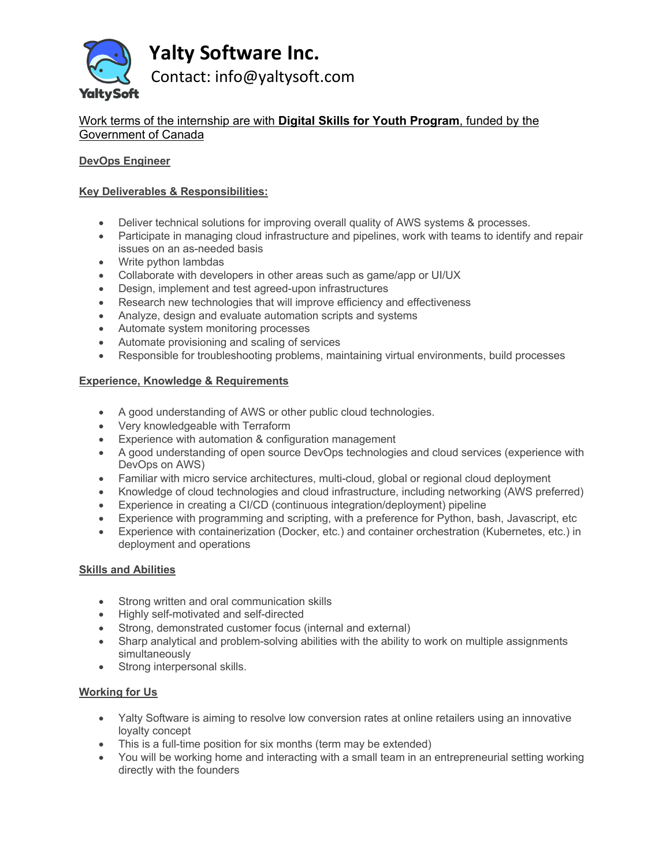

**Yalty Software Inc.**

Contact: info@yaltysoft.com

# Work terms of the internship are with **Digital Skills for Youth Program**, funded by the Government of Canada

## **DevOps Engineer**

## **Key Deliverables & Responsibilities:**

- Deliver technical solutions for improving overall quality of AWS systems & processes.
- Participate in managing cloud infrastructure and pipelines, work with teams to identify and repair issues on an as-needed basis
- Write python lambdas
- Collaborate with developers in other areas such as game/app or UI/UX
- Design, implement and test agreed-upon infrastructures
- Research new technologies that will improve efficiency and effectiveness
- Analyze, design and evaluate automation scripts and systems
- Automate system monitoring processes
- Automate provisioning and scaling of services
- Responsible for troubleshooting problems, maintaining virtual environments, build processes

### **Experience, Knowledge & Requirements**

- A good understanding of AWS or other public cloud technologies.
- Very knowledgeable with Terraform
- Experience with automation & configuration management
- A good understanding of open source DevOps technologies and cloud services (experience with DevOps on AWS)
- Familiar with micro service architectures, multi-cloud, global or regional cloud deployment
- Knowledge of cloud technologies and cloud infrastructure, including networking (AWS preferred)
- Experience in creating a CI/CD (continuous integration/deployment) pipeline
- Experience with programming and scripting, with a preference for Python, bash, Javascript, etc
- Experience with containerization (Docker, etc.) and container orchestration (Kubernetes, etc.) in deployment and operations

### **Skills and Abilities**

- Strong written and oral communication skills
- Highly self-motivated and self-directed
- Strong, demonstrated customer focus (internal and external)
- Sharp analytical and problem-solving abilities with the ability to work on multiple assignments simultaneously
- Strong interpersonal skills.

### **Working for Us**

- Yalty Software is aiming to resolve low conversion rates at online retailers using an innovative loyalty concept
- This is a full-time position for six months (term may be extended)
- You will be working home and interacting with a small team in an entrepreneurial setting working directly with the founders